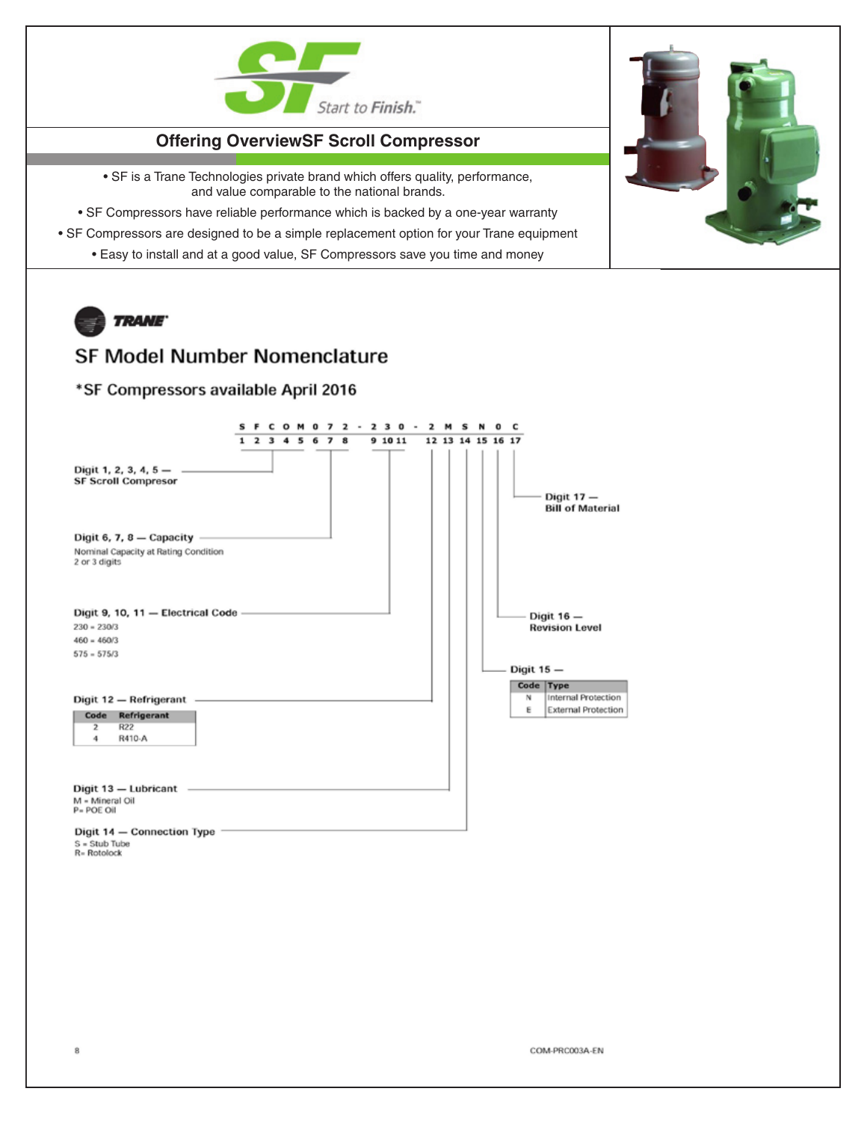

## **Offering OverviewSF Scroll Compressor**

• SF is a Trane Technologies private brand which offers quality, performance, and value comparable to the national brands.

- SF Compressors have reliable performance which is backed by a one-year warranty
- SF Compressors are designed to be a simple replacement option for your Trane equipment
	- Easy to install and at a good value, SF Compressors save you time and money



8

## **SF Model Number Nomenclature**

## \*SF Compressors available April 2016



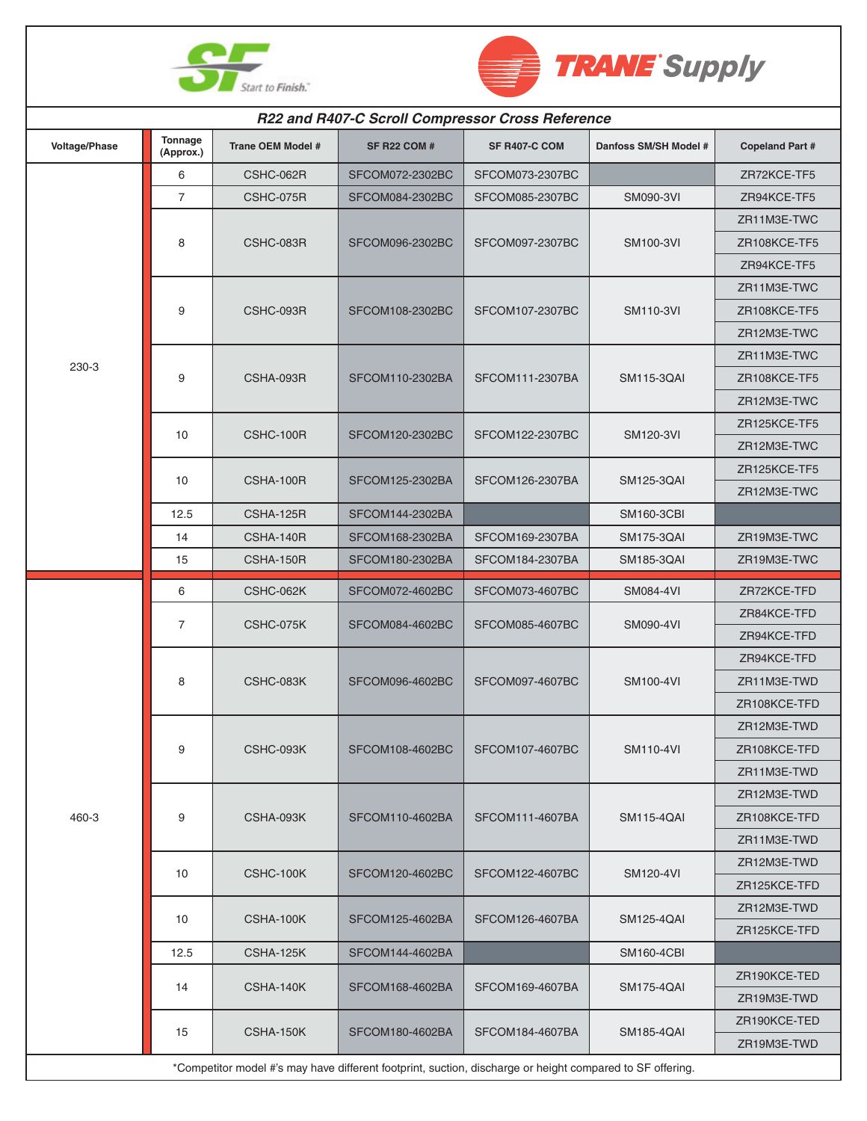



| R22 and R407-C Scroll Compressor Cross Reference                                                          |                      |                          |                     |                 |                       |                        |  |  |  |
|-----------------------------------------------------------------------------------------------------------|----------------------|--------------------------|---------------------|-----------------|-----------------------|------------------------|--|--|--|
| Voltage/Phase                                                                                             | Tonnage<br>(Approx.) | <b>Trane OEM Model #</b> | <b>SF R22 COM #</b> | SF R407-C COM   | Danfoss SM/SH Model # | <b>Copeland Part #</b> |  |  |  |
| 230-3                                                                                                     | 6                    | CSHC-062R                | SFCOM072-2302BC     | SFCOM073-2307BC |                       | ZR72KCE-TF5            |  |  |  |
|                                                                                                           | $\overline{7}$       | CSHC-075R                | SFCOM084-2302BC     | SFCOM085-2307BC | SM090-3VI             | ZR94KCE-TF5            |  |  |  |
|                                                                                                           | 8                    | CSHC-083R                | SFCOM096-2302BC     | SFCOM097-2307BC | <b>SM100-3VI</b>      | ZR11M3E-TWC            |  |  |  |
|                                                                                                           |                      |                          |                     |                 |                       | ZR108KCE-TF5           |  |  |  |
|                                                                                                           |                      |                          |                     |                 |                       | ZR94KCE-TF5            |  |  |  |
|                                                                                                           | 9                    | CSHC-093R                | SFCOM108-2302BC     | SFCOM107-2307BC | <b>SM110-3VI</b>      | ZR11M3E-TWC            |  |  |  |
|                                                                                                           |                      |                          |                     |                 |                       | ZR108KCE-TF5           |  |  |  |
|                                                                                                           |                      |                          |                     |                 |                       | ZR12M3E-TWC            |  |  |  |
|                                                                                                           | 9                    | CSHA-093R                | SFCOM110-2302BA     | SFCOM111-2307BA | <b>SM115-3QAI</b>     | ZR11M3E-TWC            |  |  |  |
|                                                                                                           |                      |                          |                     |                 |                       | ZR108KCE-TF5           |  |  |  |
|                                                                                                           |                      |                          |                     |                 |                       | ZR12M3E-TWC            |  |  |  |
|                                                                                                           | 10                   | CSHC-100R                | SFCOM120-2302BC     | SFCOM122-2307BC | <b>SM120-3VI</b>      | ZR125KCE-TF5           |  |  |  |
|                                                                                                           |                      |                          |                     |                 |                       | ZR12M3E-TWC            |  |  |  |
|                                                                                                           | 10                   | CSHA-100R                | SFCOM125-2302BA     | SFCOM126-2307BA | SM125-3QAI            | ZR125KCE-TF5           |  |  |  |
|                                                                                                           |                      |                          |                     |                 |                       | ZR12M3E-TWC            |  |  |  |
|                                                                                                           | 12.5                 | CSHA-125R                | SFCOM144-2302BA     |                 | <b>SM160-3CBI</b>     |                        |  |  |  |
|                                                                                                           | 14                   | CSHA-140R                | SFCOM168-2302BA     | SFCOM169-2307BA | <b>SM175-3QAI</b>     | ZR19M3E-TWC            |  |  |  |
|                                                                                                           | 15                   | CSHA-150R                | SFCOM180-2302BA     | SFCOM184-2307BA | SM185-3QAI            | ZR19M3E-TWC            |  |  |  |
|                                                                                                           | 6                    | CSHC-062K                | SFCOM072-4602BC     | SFCOM073-4607BC | <b>SM084-4VI</b>      | ZR72KCE-TFD            |  |  |  |
|                                                                                                           | $\overline{7}$       | CSHC-075K                | SFCOM084-4602BC     | SFCOM085-4607BC | <b>SM090-4VI</b>      | ZR84KCE-TFD            |  |  |  |
|                                                                                                           |                      |                          |                     |                 |                       | ZR94KCE-TFD            |  |  |  |
|                                                                                                           | 8                    | CSHC-083K                | SFCOM096-4602BC     | SFCOM097-4607BC | <b>SM100-4VI</b>      | ZR94KCE-TFD            |  |  |  |
|                                                                                                           |                      |                          |                     |                 |                       | ZR11M3E-TWD            |  |  |  |
| 460-3                                                                                                     |                      |                          |                     |                 |                       | ZR108KCE-TFD           |  |  |  |
|                                                                                                           | 9                    | CSHC-093K                | SFCOM108-4602BC     | SFCOM107-4607BC | <b>SM110-4VI</b>      | ZR12M3E-TWD            |  |  |  |
|                                                                                                           |                      |                          |                     |                 |                       | ZR108KCE-TFD           |  |  |  |
|                                                                                                           |                      |                          |                     |                 |                       | ZR11M3E-TWD            |  |  |  |
|                                                                                                           | 9                    | CSHA-093K                | SFCOM110-4602BA     | SFCOM111-4607BA | <b>SM115-4QAI</b>     | ZR12M3E-TWD            |  |  |  |
|                                                                                                           |                      |                          |                     |                 |                       | ZR108KCE-TFD           |  |  |  |
|                                                                                                           |                      |                          |                     |                 |                       | ZR11M3E-TWD            |  |  |  |
|                                                                                                           | 10                   | CSHC-100K                | SFCOM120-4602BC     | SFCOM122-4607BC | <b>SM120-4VI</b>      | ZR12M3E-TWD            |  |  |  |
|                                                                                                           |                      |                          |                     |                 |                       | ZR125KCE-TFD           |  |  |  |
|                                                                                                           | 10                   | CSHA-100K                | SFCOM125-4602BA     | SFCOM126-4607BA | <b>SM125-4QAI</b>     | ZR12M3E-TWD            |  |  |  |
|                                                                                                           |                      |                          |                     |                 |                       | ZR125KCE-TFD           |  |  |  |
|                                                                                                           | 12.5                 | CSHA-125K                | SFCOM144-4602BA     |                 | <b>SM160-4CBI</b>     |                        |  |  |  |
|                                                                                                           | 14                   | CSHA-140K                | SFCOM168-4602BA     | SFCOM169-4607BA | <b>SM175-4QAI</b>     | ZR190KCE-TED           |  |  |  |
|                                                                                                           |                      |                          |                     |                 |                       | ZR19M3E-TWD            |  |  |  |
|                                                                                                           | 15                   | CSHA-150K                | SFCOM180-4602BA     | SFCOM184-4607BA | <b>SM185-4QAI</b>     | ZR190KCE-TED           |  |  |  |
|                                                                                                           |                      |                          |                     |                 |                       | ZR19M3E-TWD            |  |  |  |
| *Competitor model #'s may have different footprint, suction, discharge or height compared to SF offering. |                      |                          |                     |                 |                       |                        |  |  |  |